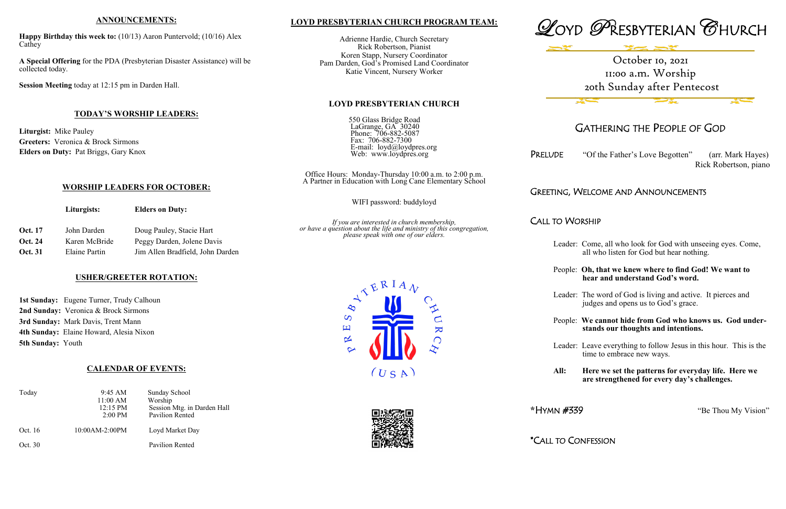## **LOYD PRESBYTERIAN CHURCH PROGRAM TEAM:**

Adrienne Hardie, Church Secretary Rick Robertson, Pianist Koren Stapp, Nursery Coordinator Pam Darden, God's Promised Land Coordinator Katie Vincent, Nursery Worker

### **LOYD PRESBYTERIAN CHURCH**

550 Glass Bridge Road LaGrange, GA 30240 Phone: 706-882-5087 Fax: 706-882-7300 E-mail: loyd@loydpres.org Web: www.loydpres.org

PRELUDE "Of the Father's Love Begotten" (arr. Mark Hayes) Rick Robertson, piano

Office Hours: Monday-Thursday 10:00 a.m. to 2:00 p.m. A Partner in Education with Long Cane Elementary School

WIFI password: buddyloyd

*If you are interested in church membership, or have a question about the life and ministry of this congregation, please speak with one of our elders.*



# GATHERING THE PEOPLE OF GOD

# GREETING, WELCOME AND ANNOUNCEMENTS

CALL TO WORSHIP

1st Sunday: Eugene Turner, Trudy Calhoun **2nd Sunday:** Veronica & Brock Sirmons **3rd Sunday:** Mark Davis, Trent Mann **4th Sunday:** Elaine Howard, Alesia Nixon **5th Sunday:** Youth

- Leader: Come, all who look for God with unseeing eyes. Come, all who listen for God but hear nothing.
- People: **Oh, that we knew where to find God! We want to hear and understand God's word.**
- Leader: The word of God is living and active. It pierces and judges and opens us to God's grace.
- People: **We cannot hide from God who knows us. God under stands our thoughts and intentions.**
- Leader: Leave everything to follow Jesus in this hour. This is the time to embrace new ways.
- **All: Here we set the patterns for everyday life. Here we are strengthened for every day's challenges.**

**\***HYMN #339 "Be Thou My Vision"

\*CALL TO CONFESSION

## **ANNOUNCEMENTS:**

**Happy Birthday this week to:** (10/13) Aaron Puntervold; (10/16) Alex Cathey

**A Special Offering** for the PDA (Presbyterian Disaster Assistance) will be collected today.

**Session Meeting** today at 12:15 pm in Darden Hall.

## **TODAY'S WORSHIP LEADERS:**

**Liturgist:** Mike Pauley **Greeters:** Veronica & Brock Sirmons **Elders on Duty:** Pat Briggs, Gary Knox

# **WORSHIP LEADERS FOR OCTOBER:**

**Liturgists: Elders on Duty:**

| <b>Oct.</b> 17 | John Darden   | Doug Pauley, Stacie Hart         |
|----------------|---------------|----------------------------------|
| Oct. 24        | Karen McBride | Peggy Darden, Jolene Davis       |
| <b>Oct. 31</b> | Elaine Partin | Jim Allen Bradfield, John Darden |

## **USHER/GREETER ROTATION:**

## **CALENDAR OF EVENTS:**

| Today   | 9:45 AM<br>11:00 AM<br>$12:15 \text{ PM}$<br>$2:00 \text{ PM}$ | Sunday School<br>Worship<br>Session Mtg. in Darden Hall<br>Pavilion Rented |
|---------|----------------------------------------------------------------|----------------------------------------------------------------------------|
| Oct. 16 | 10:00AM-2:00PM                                                 | Loyd Market Day                                                            |
| Oct. 30 |                                                                | Pavilion Rented                                                            |





# October 10, 2021 11:00 a.m. Worship 20th Sunday after Pentecost